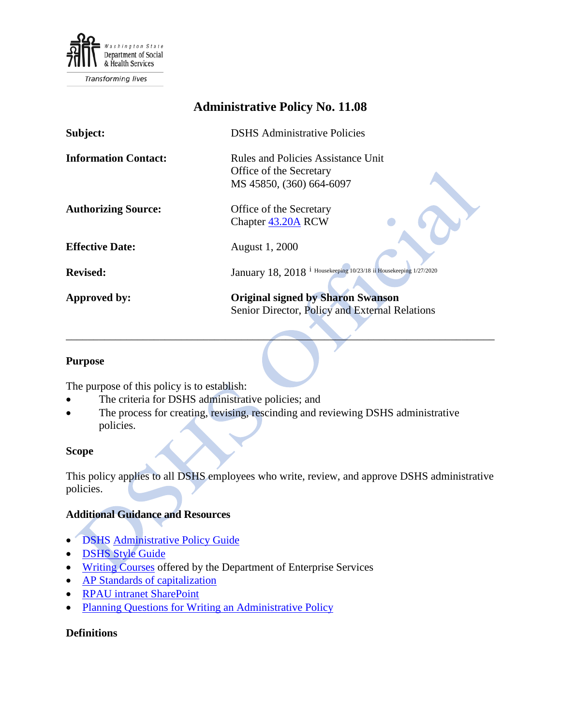

# **Administrative Policy No. 11.08**

| Subject:                    | <b>DSHS</b> Administrative Policies                                              |
|-----------------------------|----------------------------------------------------------------------------------|
| <b>Information Contact:</b> | Rules and Policies Assistance Unit                                               |
|                             | Office of the Secretary                                                          |
|                             | MS 45850, (360) 664-6097                                                         |
| <b>Authorizing Source:</b>  | Office of the Secretary                                                          |
|                             | Chapter 43.20A RCW                                                               |
| <b>Effective Date:</b>      | August 1, 2000                                                                   |
|                             |                                                                                  |
| <b>Revised:</b>             | <sup>1</sup> Housekeeping 10/23/18 ii Housekeeping 1/27/2020<br>January 18, 2018 |
| Approved by:                | <b>Original signed by Sharon Swanson</b>                                         |
|                             | Senior Director, Policy and External Relations                                   |

#### **Purpose**

The purpose of this policy is to establish:

- The criteria for DSHS administrative policies; and
- The process for creating, revising, rescinding and reviewing DSHS administrative policies.

#### **Scope**

This policy applies to all DSHS employees who write, review, and approve DSHS administrative policies.

 $\qquad \qquad$ 

### **Additional Guidance and Resources**

- DSHS [Administrative Policy Guide](http://one.dshs.wa.lcl/Policies/PolicyDocuments/AdministrativePolicyGuide.pdf)
- [DSHS Style Guide](http://one.dshs.wa.lcl/Communications/Communications%20Resources/DSHS-Style-Guide.pdf)
- [Writing Courses](http://www.dop.wa.gov/training/TrainingProgram/ProfessionalDevelopment/Pages/WrittenCommunication.aspx) offered by the Department of Enterprise Services
- [AP Standards of capitalization](http://one.dshs.wa.lcl/Policies/PolicyDocuments/APStandardsofCapitalization.pdf)
- [RPAU intranet SharePoint](http://one.dshs.wa.lcl/per/rpau/Pages/default.aspx)
- Planning Questions for Writing an Administrative Policy

#### **Definitions**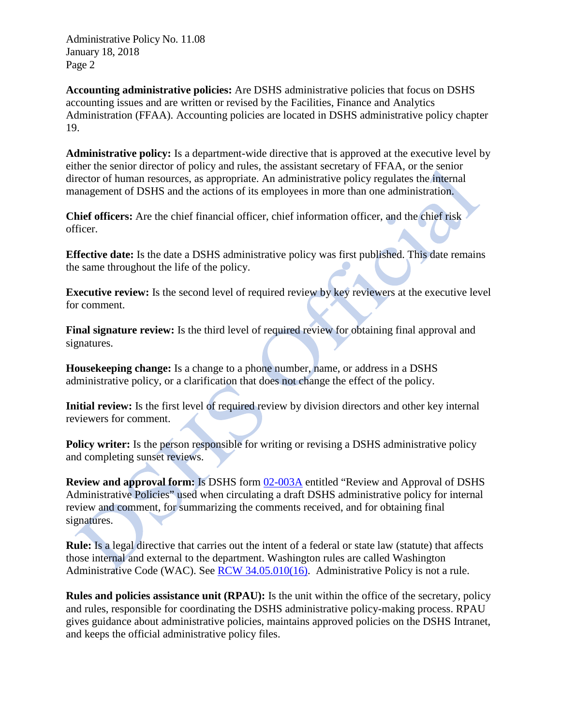Administrative Policy No. 11.08 January 18, 2018 Page 2

**Accounting administrative policies:** Are DSHS administrative policies that focus on DSHS accounting issues and are written or revised by the Facilities, Finance and Analytics Administration (FFAA). Accounting policies are located in DSHS administrative policy chapter 19.

**Administrative policy:** Is a department-wide directive that is approved at the executive level by either the senior director of policy and rules, the assistant secretary of FFAA, or the senior director of human resources, as appropriate. An administrative policy regulates the internal management of DSHS and the actions of its employees in more than one administration.

**Chief officers:** Are the chief financial officer, chief information officer, and the chief risk officer.

**Effective date:** Is the date a DSHS administrative policy was first published. This date remains the same throughout the life of the policy.

**Executive review:** Is the second level of required review by key reviewers at the executive level for comment.

**Final signature review:** Is the third level of required review for obtaining final approval and signatures.

**Housekeeping change:** Is a change to a phone number, name, or address in a DSHS administrative policy, or a clarification that does not change the effect of the policy.

**Initial review:** Is the first level of required review by division directors and other key internal reviewers for comment.

**Policy writer:** Is the person responsible for writing or revising a DSHS administrative policy and completing sunset reviews.

**Review and approval form:** Is DSHS form [02-003A](http://forms.dshs.wa.lcl/) entitled "Review and Approval of DSHS Administrative Policies" used when circulating a draft DSHS administrative policy for internal review and comment, for summarizing the comments received, and for obtaining final signatures.

**Rule:** Is a legal directive that carries out the intent of a federal or state law (statute) that affects those internal and external to the department. Washington rules are called Washington Administrative Code (WAC). See [RCW 34.05.010\(16\).](http://apps.leg.wa.gov/RCW/default.aspx?cite=34.05.010) Administrative Policy is not a rule.

**Rules and policies assistance unit (RPAU):** Is the unit within the office of the secretary, policy and rules, responsible for coordinating the DSHS administrative policy-making process. RPAU gives guidance about administrative policies, maintains approved policies on the DSHS Intranet, and keeps the official administrative policy files.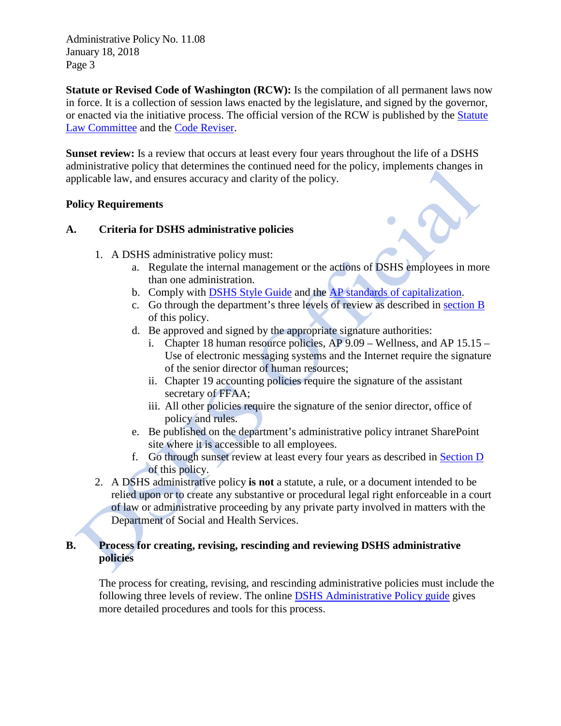Administrative Policy No. 11.08 January 18, 2018 Page 3

**Statute or Revised Code of Washington (RCW):** Is the compilation of all permanent laws now in force. It is a collection of session laws enacted by the legislature, and signed by the governor, or enacted via the initiative process. The official version of the RCW is published by the [Statute](http://leg.wa.gov/CodeReviser/pages/statute_law_committee.aspx)  [Law Committee](http://leg.wa.gov/CodeReviser/pages/statute_law_committee.aspx) and the [Code Reviser.](http://www1.leg.wa.gov/CodeReviser/)

**Sunset review:** Is a review that occurs at least every four years throughout the life of a DSHS administrative policy that determines the continued need for the policy, implements changes in applicable law, and ensures accuracy and clarity of the policy.

### **Policy Requirements**

### **A. Criteria for DSHS administrative policies**

- 1. A DSHS administrative policy must:
	- a. Regulate the internal management or the actions of DSHS employees in more than one administration.
	- b. Comply with [DSHS Style Guide](http://exec.dshs.wa.lcl/commdiv/pdf/22-1300.pdf) and the [AP standards of capitalization.](http://one.dshs.wa.lcl/Policies/PolicyDocuments/APStandardsofCapitalization.pdf)
	- c. Go through the department's three levels of review as described in [section B](#page-2-0) of this policy.
	- d. Be approved and signed by the appropriate signature authorities:
		- i. Chapter 18 human resource policies, AP 9.09 Wellness, and AP 15.15 Use of electronic messaging systems and the Internet require the signature of the senior director of human resources;
		- ii. Chapter 19 accounting policies require the signature of the assistant secretary of FFAA;
		- iii. All other policies require the signature of the senior director, office of policy and rules.
	- e. Be published on the department's administrative policy intranet SharePoint site where it is accessible to all employees.
	- f. Go through sunset review at least every four years as described in [Section D](#page-4-0) of this policy.
- 2. A DSHS administrative policy **is not** a statute, a rule, or a document intended to be relied upon or to create any substantive or procedural legal right enforceable in a court of law or administrative proceeding by any private party involved in matters with the Department of Social and Health Services.

### <span id="page-2-0"></span>**B. Process for creating, revising, rescinding and reviewing DSHS administrative policies**

The process for creating, revising, and rescinding administrative policies must include the following three levels of review. The online [DSHS Administrative Policy guide](http://one.dshs.wa.lcl/Policies/PolicyDocuments/AdministrativePolicyGuide.pdf) gives more detailed procedures and tools for this process.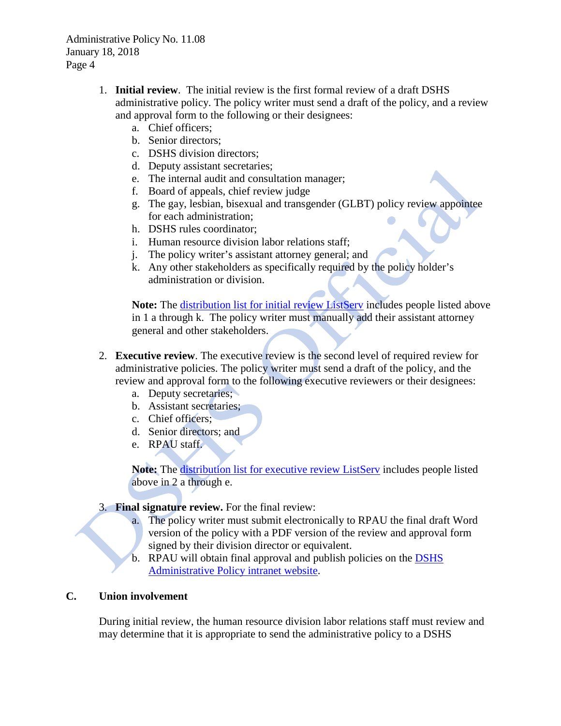- 1. **Initial review**. The initial review is the first formal review of a draft DSHS administrative policy. The policy writer must send a draft of the policy, and a review and approval form to the following or their designees:
	- a. Chief officers;
	- b. Senior directors;
	- c. DSHS division directors;
	- d. Deputy assistant secretaries;
	- e. The internal audit and consultation manager;
	- f. Board of appeals, chief review judge
	- g. The gay, lesbian, bisexual and transgender (GLBT) policy review appointee for each administration;
	- h. DSHS rules coordinator;
	- i. Human resource division labor relations staff;
	- j. The policy writer's assistant attorney general; and
	- k. Any other stakeholders as specifically required by the policy holder's administration or division.

Note: The [distribution list for initial review ListServ](mailto:DIVISIONDIRECTORS@LISTSERV.DSHS.WA.GOV) includes people listed above in 1 a through k. The policy writer must manually add their assistant attorney general and other stakeholders.

- 2. **Executive review**. The executive review is the second level of required review for administrative policies. The policy writer must send a draft of the policy, and the review and approval form to the following executive reviewers or their designees:
	- a. Deputy secretaries;
	- b. Assistant secretaries;
	- c. Chief officers;
	- d. Senior directors; and
	- e. RPAU staff.

Note: The [distribution list for executive review ListServ](mailto:DSHSASSISTANTSECRETARIES@LISTSERV.DSHS.WA.GOV) includes people listed above in 2 a through e.

#### 3. **Final signature review.** For the final review:

- a. The policy writer must submit electronically to RPAU the final draft Word version of the policy with a PDF version of the review and approval form signed by their division director or equivalent.
- b. RPAU will obtain final approval and publish policies on the [DSHS](http://one.dshs.wa.lcl/policies/Pages/default.aspx)  [Administrative Policy intranet website.](http://one.dshs.wa.lcl/policies/Pages/default.aspx)

### **C. Union involvement**

During initial review, the human resource division labor relations staff must review and may determine that it is appropriate to send the administrative policy to a DSHS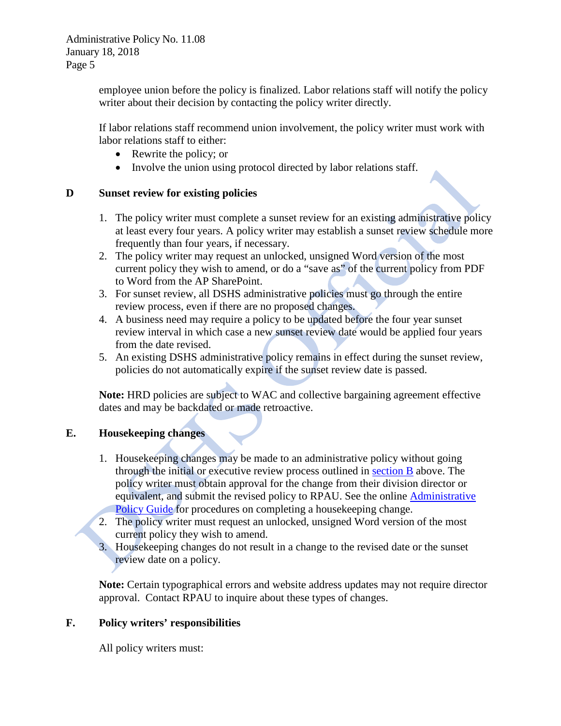employee union before the policy is finalized. Labor relations staff will notify the policy writer about their decision by contacting the policy writer directly.

If labor relations staff recommend union involvement, the policy writer must work with labor relations staff to either:

- Rewrite the policy; or
- Involve the union using protocol directed by labor relations staff.

#### <span id="page-4-0"></span>**D Sunset review for existing policies**

- 1. The policy writer must complete a sunset review for an existing administrative policy at least every four years. A policy writer may establish a sunset review schedule more frequently than four years, if necessary.
- 2. The policy writer may request an unlocked, unsigned Word version of the most current policy they wish to amend, or do a "save as" of the current policy from PDF to Word from the AP SharePoint.
- 3. For sunset review, all DSHS administrative policies must go through the entire review process, even if there are no proposed changes.
- 4. A business need may require a policy to be updated before the four year sunset review interval in which case a new sunset review date would be applied four years from the date revised.
- 5. An existing DSHS administrative policy remains in effect during the sunset review, policies do not automatically expire if the sunset review date is passed.

**Note:** HRD policies are subject to WAC and collective bargaining agreement effective dates and may be backdated or made retroactive.

### **E. Housekeeping changes**

- 1. Housekeeping changes may be made to an administrative policy without going through the initial or executive review process outlined in [section B](#page-2-0) above. The policy writer must obtain approval for the change from their division director or equivalent, and submit the revised policy to RPAU. See the online [Administrative](http://one.dshs.wa.lcl/Policies/PolicyDocuments/AdministrativePolicyGuide.pdf)  [Policy Guide](http://one.dshs.wa.lcl/Policies/PolicyDocuments/AdministrativePolicyGuide.pdf) for procedures on completing a housekeeping change.
- 2. The policy writer must request an unlocked, unsigned Word version of the most current policy they wish to amend.
- 3. Housekeeping changes do not result in a change to the revised date or the sunset review date on a policy.

**Note:** Certain typographical errors and website address updates may not require director approval. Contact RPAU to inquire about these types of changes.

### **F. Policy writers' responsibilities**

All policy writers must: